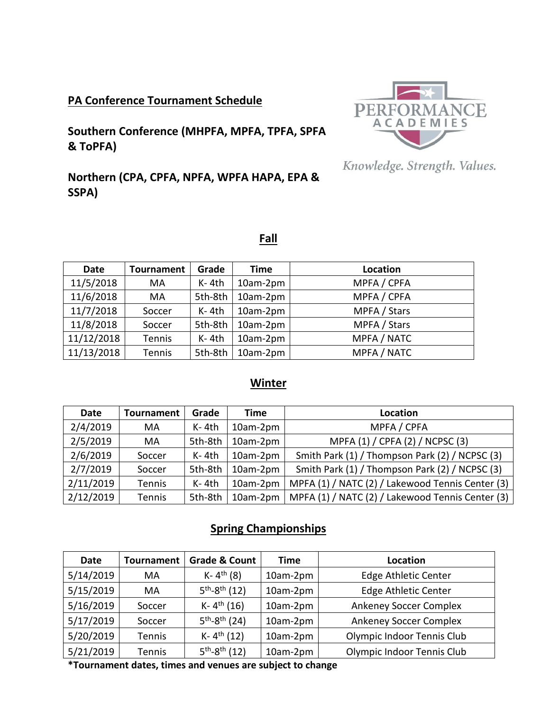## **PA Conference Tournament Schedule**

**Southern Conference (MHPFA, MPFA, TPFA, SPFA & ToPFA)**



Knowledge. Strength. Values.

# **Northern (CPA, CPFA, NPFA, WPFA HAPA, EPA & SSPA)**

|--|

| <b>Date</b> | <b>Tournament</b> | Grade   | Time     | Location     |
|-------------|-------------------|---------|----------|--------------|
| 11/5/2018   | MA                | $K-4th$ | 10am-2pm | MPFA / CPFA  |
| 11/6/2018   | MA                | 5th-8th | 10am-2pm | MPFA / CPFA  |
| 11/7/2018   | Soccer            | $K-4th$ | 10am-2pm | MPFA / Stars |
| 11/8/2018   | Soccer            | 5th-8th | 10am-2pm | MPFA / Stars |
| 11/12/2018  | Tennis            | $K-4th$ | 10am-2pm | MPFA / NATC  |
| 11/13/2018  | Tennis            | 5th-8th | 10am-2pm | MPFA / NATC  |

### **Winter**

| Date      | Tournament    | Grade   | Time     | Location                                         |
|-----------|---------------|---------|----------|--------------------------------------------------|
| 2/4/2019  | MA            | $K-4th$ | 10am-2pm | MPFA / CPFA                                      |
| 2/5/2019  | MA            | 5th-8th | 10am-2pm | MPFA (1) / CPFA (2) / NCPSC (3)                  |
| 2/6/2019  | Soccer        | $K-4th$ | 10am-2pm | Smith Park (1) / Thompson Park (2) / NCPSC (3)   |
| 2/7/2019  | Soccer        | 5th-8th | 10am-2pm | Smith Park (1) / Thompson Park (2) / NCPSC (3)   |
| 2/11/2019 | Tennis        | $K-4th$ | 10am-2pm | MPFA (1) / NATC (2) / Lakewood Tennis Center (3) |
| 2/12/2019 | <b>Tennis</b> | 5th-8th | 10am-2pm | MPFA (1) / NATC (2) / Lakewood Tennis Center (3) |

## **Spring Championships**

| <b>Date</b> | <b>Tournament</b> | <b>Grade &amp; Count</b> | <b>Time</b> | <b>Location</b>               |
|-------------|-------------------|--------------------------|-------------|-------------------------------|
| 5/14/2019   | MA                | K- $4^{th}$ (8)          | 10am-2pm    | <b>Edge Athletic Center</b>   |
| 5/15/2019   | MA                | $5^{th} - 8^{th}$ (12)   | 10am-2pm    | <b>Edge Athletic Center</b>   |
| 5/16/2019   | Soccer            | K- $4^{th}$ (16)         | 10am-2pm    | <b>Ankeney Soccer Complex</b> |
| 5/17/2019   | Soccer            | $5^{th} - 8^{th}$ (24)   | 10am-2pm    | <b>Ankeney Soccer Complex</b> |
| 5/20/2019   | Tennis            | K- $4^{th}$ (12)         | 10am-2pm    | Olympic Indoor Tennis Club    |
| 5/21/2019   | Tennis            | $5^{th} - 8^{th}$ (12)   | 10am-2pm    | Olympic Indoor Tennis Club    |

**\*Tournament dates, times and venues are subject to change**